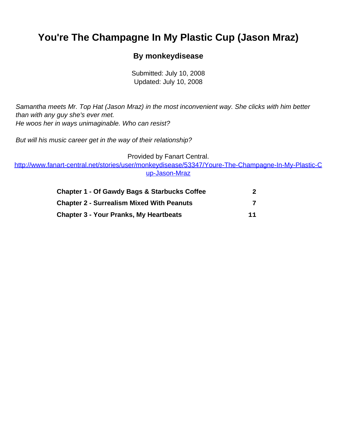# <span id="page-0-0"></span>**You're The Champagne In My Plastic Cup (Jason Mraz)**

#### **By monkeydisease**

Submitted: July 10, 2008 Updated: July 10, 2008

Samantha meets Mr. Top Hat (Jason Mraz) in the most inconvenient way. She clicks with him better than with any guy she's ever met. He woos her in ways unimaginable. Who can resist?

But will his music career get in the way of their relationship?

Provided by Fanart Central.

[http://www.fanart-central.net/stories/user/monkeydisease/53347/Youre-The-Champagne-In-My-Plastic-C](#page-0-0) [up-Jason-Mraz](#page-0-0)

| <b>Chapter 1 - Of Gawdy Bags &amp; Starbucks Coffee</b><br><b>Chapter 2 - Surrealism Mixed With Peanuts</b><br><b>Chapter 3 - Your Pranks, My Heartbeats</b> | 11 |
|--------------------------------------------------------------------------------------------------------------------------------------------------------------|----|
|--------------------------------------------------------------------------------------------------------------------------------------------------------------|----|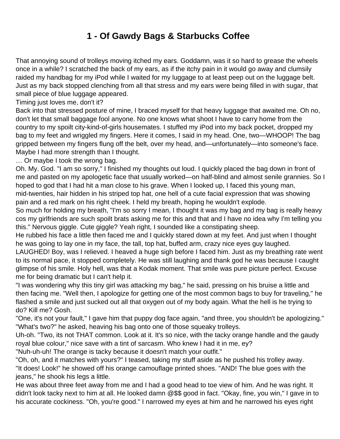## **1 - Of Gawdy Bags & Starbucks Coffee**

<span id="page-1-0"></span>That annoying sound of trolleys moving itched my ears. Goddamn, was it so hard to grease the wheels once in a while? I scratched the back of my ears, as if the itchy pain in it would go away and clumsily raided my handbag for my iPod while I waited for my luggage to at least peep out on the luggage belt. Just as my back stopped clenching from all that stress and my ears were being filled in with sugar, that small piece of blue luggage appeared.

Timing just loves me, don't it?

Back into that stressed posture of mine, I braced myself for that heavy luggage that awaited me. Oh no, don't let that small baggage fool anyone. No one knows what shoot I have to carry home from the country to my spoilt city-kind-of-girls housemates. I stuffed my iPod into my back pocket, dropped my bag to my feet and wriggled my fingers. Here it comes, I said in my head. One, two—WHOOP! The bag gripped between my fingers flung off the belt, over my head, and—unfortunately—into someone's face. Maybe I had more strength than I thought.

… Or maybe I took the wrong bag.

Oh. My. God. "I am so sorry," I finished my thoughts out loud. I quickly placed the bag down in front of me and pasted on my apologetic face that usually worked—on half-blind and almost senile grannies. So I hoped to god that I had hit a man close to his grave. When I looked up, I faced this young man,

mid-twenties, hair hidden in his striped top hat, one hell of a cute facial expression that was showing pain and a red mark on his right cheek. I held my breath, hoping he wouldn't explode.

So much for holding my breath, "I'm so sorry I mean, I thought it was my bag and my bag is really heavy cos my girlfriends are such spoilt brats asking me for this and that and I have no idea why I'm telling you this." Nervous giggle. Cute giggle? Yeah right, I sounded like a constipating sheep.

He rubbed his face a little then faced me and I quickly stared down at my feet. And just when I thought he was going to lay one in my face, the tall, top hat, buffed arm, crazy nice eyes guy laughed.

LAUGHED! Boy, was I relieved. I heaved a huge sigh before I faced him. Just as my breathing rate went to its normal pace, it stopped completely. He was still laughing and thank god he was because I caught glimpse of his smile. Holy hell, was that a Kodak moment. That smile was pure picture perfect. Excuse me for being dramatic but I can't help it.

"I was wondering why this tiny girl was attacking my bag," he said, pressing on his bruise a little and then facing me. "Well then, I apologize for getting one of the most common bags to buy for traveling," he flashed a smile and just sucked out all that oxygen out of my body again. What the hell is he trying to do? Kill me? Gosh.

"One, it's not your fault," I gave him that puppy dog face again, "and three, you shouldn't be apologizing." "What's two?" he asked, heaving his bag onto one of those squeaky trolleys.

Uh-oh. "Two, its not THAT common. Look at it. It's so nice, with the tacky orange handle and the gaudy royal blue colour," nice save with a tint of sarcasm. Who knew I had it in me, ey?

"Nuh-uh-uh! The orange is tacky because it doesn't match your outfit."

"Oh, oh, and it matches with yours?" I teased, taking my stuff aside as he pushed his trolley away. "It does! Look!" he showed off his orange camouflage printed shoes. "AND! The blue goes with the jeans," he shook his legs a little.

He was about three feet away from me and I had a good head to toe view of him. And he was right. It didn't look tacky next to him at all. He looked damn @\$\$ good in fact. "Okay, fine, you win," I gave in to his accurate cockiness. "Oh, you're good." I narrowed my eyes at him and he narrowed his eyes right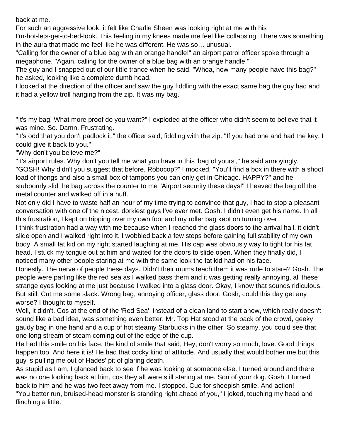back at me.

For such an aggressive look, it felt like Charlie Sheen was looking right at me with his

I'm-hot-lets-get-to-bed-look. This feeling in my knees made me feel like collapsing. There was something in the aura that made me feel like he was different. He was so… unusual.

"Calling for the owner of a blue bag with an orange handle!" an airport patrol officer spoke through a megaphone. "Again, calling for the owner of a blue bag with an orange handle."

The guy and I snapped out of our little trance when he said, "Whoa, how many people have this bag?" he asked, looking like a complete dumb head.

I looked at the direction of the officer and saw the guy fiddling with the exact same bag the guy had and it had a yellow troll hanging from the zip. It was my bag.

"It's my bag! What more proof do you want?" I exploded at the officer who didn't seem to believe that it was mine. So. Damn. Frustrating.

"It's odd that you don't padlock it," the officer said, fiddling with the zip. "If you had one and had the key, I could give it back to you."

"Why don't you believe me?"

"It's airport rules. Why don't you tell me what you have in this 'bag of yours'," he said annoyingly. "GOSH! Why didn't you suggest that before, Robocop?" I mocked. "You'll find a box in there with a shoot load of thongs and also a small box of tampons you can only get in Chicago. HAPPY?" and he stubbornly slid the bag across the counter to me "Airport security these days!" I heaved the bag off the metal counter and walked off in a huff.

Not only did I have to waste half an hour of my time trying to convince that guy, I had to stop a pleasant conversation with one of the nicest, dorkiest guys I've ever met. Gosh. I didn't even get his name. In all this frustration, I kept on tripping over my own foot and my roller bag kept on turning over.

I think frustration had a way with me because when I reached the glass doors to the arrival hall, it didn't slide open and I walked right into it. I wobbled back a few steps before gaining full stability of my own body. A small fat kid on my right started laughing at me. His cap was obviously way to tight for his fat head. I stuck my tongue out at him and waited for the doors to slide open. When they finally did, I noticed many other people staring at me with the same look the fat kid had on his face.

Honestly. The nerve of people these days. Didn't their mums teach them it was rude to stare? Gosh. The people were parting like the red sea as I walked pass them and it was getting really annoying, all these strange eyes looking at me just because I walked into a glass door. Okay, I know that sounds ridiculous. But still. Cut me some slack. Wrong bag, annoying officer, glass door. Gosh, could this day get any worse? I thought to myself.

Well, it didn't. Cos at the end of the 'Red Sea', instead of a clean land to start anew, which really doesn't sound like a bad idea, was something even better. Mr. Top Hat stood at the back of the crowd, geeky gaudy bag in one hand and a cup of hot steamy Starbucks in the other. So steamy, you could see that one long stream of steam coming out of the edge of the cup.

He had this smile on his face, the kind of smile that said, Hey, don't worry so much, love. Good things happen too. And here it is! He had that cocky kind of attitude. And usually that would bother me but this guy is pulling me out of Hades' pit of glaring death.

As stupid as I am, I glanced back to see if he was looking at someone else. I turned around and there was no one looking back at him, cos they all were still staring at me. Son of your dog. Gosh. I turned back to him and he was two feet away from me. I stopped. Cue for sheepish smile. And action! "You better run, bruised-head monster is standing right ahead of you," I joked, touching my head and flinching a little.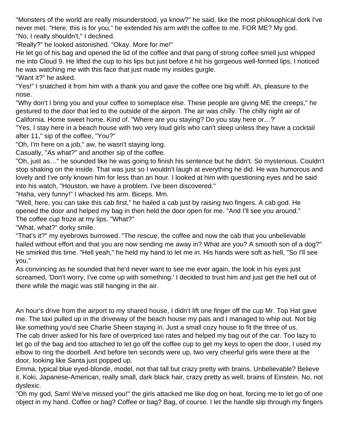"Monsters of the world are really misunderstood, ya know?" he said, like the most philosophical dork I've never met. "Here, this is for you," he extended his arm with the coffee to me. FOR ME? My god. "No, I really shouldn't," I declined.

"Really?" he looked astonished. "Okay. More for me!"

He let go of his bag and opened the lid of the coffee and that pang of strong coffee smell just whipped me into Cloud 9. He lifted the cup to his lips but just before it hit his gorgeous well-formed lips, I noticed he was watching me with this face that just made my insides gurgle.

"Want it?" he asked.

"Yes!" I snatched it from him with a thank you and gave the coffee one big whiff. Ah, pleasure to the nose.

"Why don't I bring you and your coffee to someplace else. These people are giving ME the creeps," he gestured to the door that led to the outside of the airport. The air was chilly. The chilly night air of California. Home sweet home. Kind of. "Where are you staying? Do you stay here or…?'

"Yes, I stay here in a beach house with two very loud girls who can't sleep unless they have a cocktail after 11," sip of the coffee, "You?"

"Oh, I'm here on a job," aw, he wasn't staying long.

Casually, "As what?" and another sip of the coffee.

"Oh, just as…" he sounded like he was going to finish his sentence but he didn't. So mysterious. Couldn't stop shaking on the inside. That was just so I wouldn't laugh at everything he did. He was humorous and lovely and I've only known him for less than an hour. I looked at him with questioning eyes and he said into his watch, "Houston, we have a problem. I've been discovered."

"Haha, very funny!" I whacked his arm. Biceps. Mm.

"Well, here, you can take this cab first," he hailed a cab just by raising two fingers. A cab god. He opened the door and helped my bag in then held the door open for me. "And I'll see you around." The coffee cup froze at my lips. "What?"

"What, what?" dorky smile.

"That's it?" my eyebrows burrowed. "The rescue, the coffee and now the cab that you unbelievable hailed without effort and that you are now sending me away in? What are you? A smooth son of a dog?" He smirked this time. "Hell yeah," he held my hand to let me in. His hands were soft as hell, "So I'll see you."

As convincing as he sounded that he'd never want to see me ever again, the look in his eyes just screamed, 'Don't worry, I've come up with something.' I decided to trust him and just get the hell out of there while the magic was still hanging in the air.

An hour's drive from the airport to my shared house, I didn't lift one finger off the cup Mr. Top Hat gave me. The taxi pulled up in the driveway of the beach house my pals and I managed to whip out. Not big like something you'd see Charlie Sheen staying in. Just a small cozy house to fit the three of us. The cab driver asked for his fare of overpriced taxi rates and helped my bag out of the car. Too lazy to let go of the bag and too attached to let go off the coffee cup to get my keys to open the door, I used my elbow to ring the doorbell. And before ten seconds were up, two very cheerful girls were there at the door, looking like Santa just popped up.

Emma, typical blue eyed-blonde, model, not that tall but crazy pretty with brains. Unbelievable? Believe it. Koki, Japanese-American, really small, dark black hair, crazy pretty as well, brains of Einstein. No, not dyslexic.

"Oh my god, Sam! We've missed you!" the girls attacked me like dog on heat, forcing me to let go of one object in my hand. Coffee or bag? Coffee or bag? Bag, of course. I let the handle slip through my fingers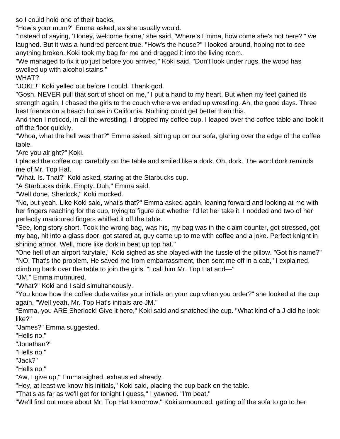so I could hold one of their backs.

"How's your mum?" Emma asked, as she usually would.

"Instead of saying, 'Honey, welcome home,' she said, 'Where's Emma, how come she's not here?'" we laughed. But it was a hundred percent true. "How's the house?" I looked around, hoping not to see anything broken. Koki took my bag for me and dragged it into the living room.

"We managed to fix it up just before you arrived," Koki said. "Don't look under rugs, the wood has swelled up with alcohol stains."

WHAT?

"JOKE!" Koki yelled out before I could. Thank god.

"Gosh. NEVER pull that sort of shoot on me," I put a hand to my heart. But when my feet gained its strength again, I chased the girls to the couch where we ended up wrestling. Ah, the good days. Three best friends on a beach house in California. Nothing could get better than this.

And then I noticed, in all the wrestling, I dropped my coffee cup. I leaped over the coffee table and took it off the floor quickly.

"Whoa, what the hell was that?" Emma asked, sitting up on our sofa, glaring over the edge of the coffee table.

"Are you alright?" Koki.

I placed the coffee cup carefully on the table and smiled like a dork. Oh, dork. The word dork reminds me of Mr. Top Hat.

"What. Is. That?" Koki asked, staring at the Starbucks cup.

"A Starbucks drink. Empty. Duh," Emma said.

"Well done, Sherlock," Koki mocked.

"No, but yeah. Like Koki said, what's that?" Emma asked again, leaning forward and looking at me with her fingers reaching for the cup, trying to figure out whether I'd let her take it. I nodded and two of her perfectly manicured fingers whiffed it off the table.

"See, long story short. Took the wrong bag, was his, my bag was in the claim counter, got stressed, got my bag, hit into a glass door, got stared at, guy came up to me with coffee and a joke. Perfect knight in shining armor. Well, more like dork in beat up top hat."

"One hell of an airport fairytale," Koki sighed as she played with the tussle of the pillow. "Got his name?" "NO! That's the problem. He saved me from embarrassment, then sent me off in a cab," I explained, climbing back over the table to join the girls. "I call him Mr. Top Hat and—"

"JM," Emma murmured.

"What?" Koki and I said simultaneously.

"You know how the coffee dude writes your initials on your cup when you order?" she looked at the cup again, "Well yeah, Mr. Top Hat's initials are JM."

"Emma, you ARE Sherlock! Give it here," Koki said and snatched the cup. "What kind of a J did he look like?"

"James?" Emma suggested.

"Hells no."

"Jonathan?"

"Hells no."

"Jack?"

"Hells no."

"Aw, I give up," Emma sighed, exhausted already.

"Hey, at least we know his initials," Koki said, placing the cup back on the table.

"That's as far as we'll get for tonight I guess," I yawned. "I'm beat."

"We'll find out more about Mr. Top Hat tomorrow," Koki announced, getting off the sofa to go to her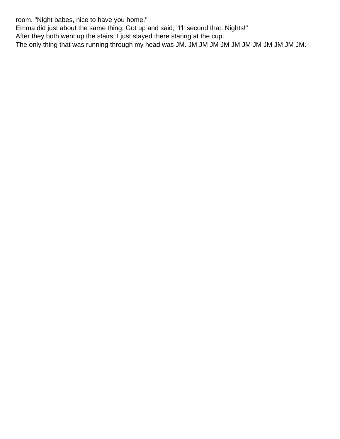room. "Night babes, nice to have you home."

Emma did just about the same thing. Got up and said, "I'll second that. Nights!"

After they both went up the stairs, I just stayed there staring at the cup.

The only thing that was running through my head was JM. JM JM JM JM JM JM JM JM JM JM JM.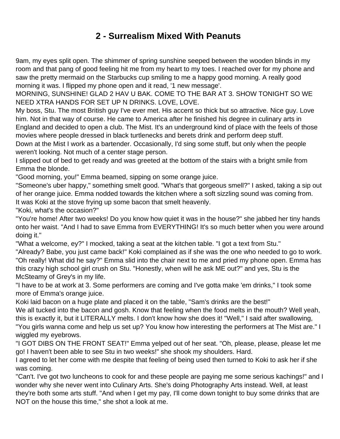## **2 - Surrealism Mixed With Peanuts**

<span id="page-6-0"></span>9am, my eyes split open. The shimmer of spring sunshine seeped between the wooden blinds in my room and that pang of good feeling hit me from my heart to my toes. I reached over for my phone and saw the pretty mermaid on the Starbucks cup smiling to me a happy good morning. A really good morning it was. I flipped my phone open and it read, '1 new message'.

MORNING, SUNSHINE! GLAD 2 HAV U BAK. COME TO THE BAR AT 3. SHOW TONIGHT SO WE NEED XTRA HANDS FOR SET UP N DRINKS. LOVE, LOVE.

My boss, Stu. The most British guy I've ever met. His accent so thick but so attractive. Nice guy. Love him. Not in that way of course. He came to America after he finished his degree in culinary arts in England and decided to open a club. The Mist. It's an underground kind of place with the feels of those movies where people dressed in black turtlenecks and berets drink and perform deep stuff. Down at the Mist I work as a bartender. Occasionally, I'd sing some stuff, but only when the people weren't looking. Not much of a center stage person.

I slipped out of bed to get ready and was greeted at the bottom of the stairs with a bright smile from Emma the blonde.

"Good morning, you!" Emma beamed, sipping on some orange juice.

"Someone's uber happy," something smelt good. "What's that gorgeous smell?" I asked, taking a sip out of her orange juice. Emma nodded towards the kitchen where a soft sizzling sound was coming from. It was Koki at the stove frying up some bacon that smelt heavenly.

"Koki, what's the occasion?"

"You're home! After two weeks! Do you know how quiet it was in the house?" she jabbed her tiny hands onto her waist. "And I had to save Emma from EVERYTHING! It's so much better when you were around doing it."

"What a welcome, ey?" I mocked, taking a seat at the kitchen table. "I got a text from Stu."

"Already? Babe, you just came back!" Koki complained as if she was the one who needed to go to work. "Oh really! What did he say?" Emma slid into the chair next to me and pried my phone open. Emma has this crazy high school girl crush on Stu. "Honestly, when will he ask ME out?" and yes, Stu is the McSteamy of Grey's in my life.

"I have to be at work at 3. Some performers are coming and I've gotta make 'em drinks," I took some more of Emma's orange juice.

Koki laid bacon on a huge plate and placed it on the table, "Sam's drinks are the best!"

We all tucked into the bacon and gosh. Know that feeling when the food melts in the mouth? Well yeah, this is exactly it, but it LITERALLY melts. I don't know how she does it! "Well," I said after swallowing, "You girls wanna come and help us set up? You know how interesting the performers at The Mist are." I wiggled my eyebrows.

"I GOT DIBS ON THE FRONT SEAT!" Emma yelped out of her seat. "Oh, please, please, please let me go! I haven't been able to see Stu in two weeks!" she shook my shoulders. Hard.

I agreed to let her come with me despite that feeling of being used then turned to Koki to ask her if she was coming.

"Can't. I've got two luncheons to cook for and these people are paying me some serious kachings!" and I wonder why she never went into Culinary Arts. She's doing Photography Arts instead. Well, at least they're both some arts stuff. "And when I get my pay, I'll come down tonight to buy some drinks that are NOT on the house this time," she shot a look at me.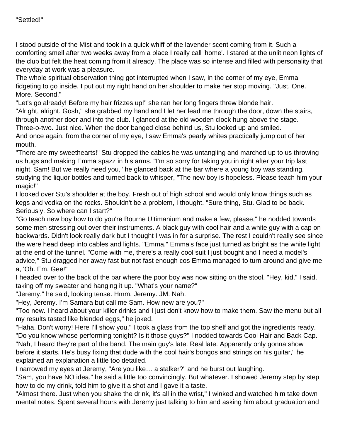I stood outside of the Mist and took in a quick whiff of the lavender scent coming from it. Such a comforting smell after two weeks away from a place I really call 'home'. I stared at the unlit neon lights of the club but felt the heat coming from it already. The place was so intense and filled with personality that everyday at work was a pleasure.

The whole spiritual observation thing got interrupted when I saw, in the corner of my eye, Emma fidgeting to go inside. I put out my right hand on her shoulder to make her stop moving. "Just. One. More. Second."

"Let's go already! Before my hair frizzes up!" she ran her long fingers threw blonde hair.

"Alright, alright. Gosh," she grabbed my hand and I let her lead me through the door, down the stairs, through another door and into the club. I glanced at the old wooden clock hung above the stage. Three-o-two. Just nice. When the door banged close behind us, Stu looked up and smiled. And once again, from the corner of my eye, I saw Emma's pearly whites practically jump out of her

mouth.

"There are my sweethearts!" Stu dropped the cables he was untangling and marched up to us throwing us hugs and making Emma spazz in his arms. "I'm so sorry for taking you in right after your trip last night, Sam! But we really need you," he glanced back at the bar where a young boy was standing, studying the liquor bottles and turned back to whisper, "The new boy is hopeless. Please teach him your magic!"

I looked over Stu's shoulder at the boy. Fresh out of high school and would only know things such as kegs and vodka on the rocks. Shouldn't be a problem, I thought. "Sure thing, Stu. Glad to be back. Seriously. So where can I start?"

"Go teach new boy how to do you're Bourne Ultimanium and make a few, please," he nodded towards some men stressing out over their instruments. A black guy with cool hair and a white guy with a cap on backwards. Didn't look really dark but I thought I was in for a surprise. The rest I couldn't really see since the were head deep into cables and lights. "Emma," Emma's face just turned as bright as the white light at the end of the tunnel. "Come with me, there's a really cool suit I just bought and I need a model's advice," Stu dragged her away fast but not fast enough cos Emma managed to turn around and give me a, 'Oh. Em. Gee!"

I headed over to the back of the bar where the poor boy was now sitting on the stool. "Hey, kid," I said, taking off my sweater and hanging it up. "What's your name?"

"Jeremy," he said, looking tense. Hmm. Jeremy. JM. Nah.

"Hey, Jeremy. I'm Samara but call me Sam. How new are you?"

"Too new. I heard about your killer drinks and I just don't know how to make them. Saw the menu but all my results tasted like blended eggs," he joked.

"Haha. Don't worry! Here I'll show you," I took a glass from the top shelf and got the ingredients ready. "Do you know whose performing tonight? Is it those guys?" I nodded towards Cool Hair and Back Cap. "Nah, I heard they're part of the band. The main guy's late. Real late. Apparently only gonna show before it starts. He's busy fixing that dude with the cool hair's bongos and strings on his guitar," he explained an explanation a little too detailed.

I narrowed my eyes at Jeremy, "Are you like… a stalker?" and he burst out laughing.

"Sam, you have NO idea," he said a little too convincingly. But whatever. I showed Jeremy step by step how to do my drink, told him to give it a shot and I gave it a taste.

"Almost there. Just when you shake the drink, it's all in the wrist," I winked and watched him take down mental notes. Spent several hours with Jeremy just talking to him and asking him about graduation and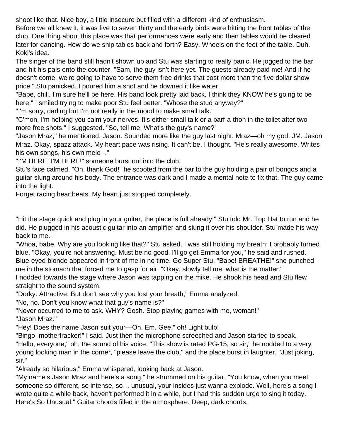shoot like that. Nice boy, a little insecure but filled with a different kind of enthusiasm.

Before we all knew it, it was five to seven thirty and the early birds were hitting the front tables of the club. One thing about this place was that performances were early and then tables would be cleared later for dancing. How do we ship tables back and forth? Easy. Wheels on the feet of the table. Duh. Koki's idea.

The singer of the band still hadn't shown up and Stu was starting to really panic. He jogged to the bar and hit his pals onto the counter, "Sam, the guy isn't here yet. The guests already paid me! And if he doesn't come, we're going to have to serve them free drinks that cost more than the five dollar show price!" Stu panicked. I poured him a shot and he downed it like water.

"Babe, chill. I'm sure he'll be here. His band look pretty laid back. I think they KNOW he's going to be here," I smiled trying to make poor Stu feel better. "Whose the stud anyway?"

"I'm sorry, darling but I'm not really in the mood to make small talk."

"C'mon, I'm helping you calm your nerves. It's either small talk or a barf-a-thon in the toilet after two more free shots," I suggested. "So, tell me. What's the guy's name?'

"Jason Mraz," he mentioned. Jason. Sounded more like the guy last night. Mraz—oh my god. JM. Jason Mraz. Okay, spazz attack. My heart pace was rising. It can't be, I thought. "He's really awesome. Writes his own songs, his own melo--."

"I'M HERE! I'M HERE!" someone burst out into the club.

Stu's face calmed, "Oh, thank God!" he scooted from the bar to the guy holding a pair of bongos and a guitar slung around his body. The entrance was dark and I made a mental note to fix that. The guy came into the light.

Forget racing heartbeats. My heart just stopped completely.

"Hit the stage quick and plug in your guitar, the place is full already!" Stu told Mr. Top Hat to run and he did. He plugged in his acoustic guitar into an amplifier and slung it over his shoulder. Stu made his way back to me.

"Whoa, babe. Why are you looking like that?" Stu asked. I was still holding my breath; I probably turned blue. "Okay, you're not answering. Must be no good. I'll go get Emma for you," he said and rushed. Blue-eyed blonde appeared in front of me in no time. Go Super Stu. "Babe! BREATHE!" she punched

me in the stomach that forced me to gasp for air. "Okay, slowly tell me, what is the matter."

I nodded towards the stage where Jason was tapping on the mike. He shook his head and Stu flew straight to the sound system.

"Dorky. Attractive. But don't see why you lost your breath," Emma analyzed.

"No, no. Don't you know what that guy's name is?"

"Never occurred to me to ask. WHY? Gosh. Stop playing games with me, woman!" "Jason Mraz."

"Hey! Does the name Jason suit your—Oh. Em. Gee," oh! Light bulb!

"Bingo, motherfracker!" I said. Just then the microphone screeched and Jason started to speak.

"Hello, everyone," oh, the sound of his voice. "This show is rated PG-15, so sir," he nodded to a very young looking man in the corner, "please leave the club," and the place burst in laughter. "Just joking, sir."

"Already so hilarious," Emma whispered, looking back at Jason.

"My name's Jason Mraz and here's a song," he strummed on his guitar, "You know, when you meet someone so different, so intense, so… unusual, your insides just wanna explode. Well, here's a song I wrote quite a while back, haven't performed it in a while, but I had this sudden urge to sing it today. Here's So Unusual." Guitar chords filled in the atmosphere. Deep, dark chords.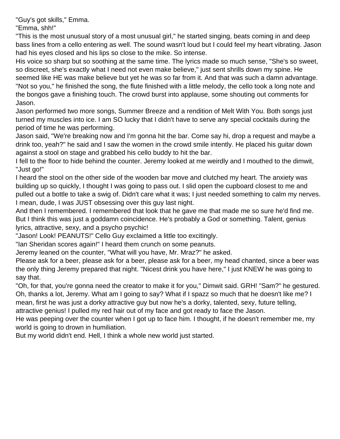"Guy's got skills," Emma.

"Emma, shh!"

"This is the most unusual story of a most unusual girl," he started singing, beats coming in and deep bass lines from a cello entering as well. The sound wasn't loud but I could feel my heart vibrating. Jason had his eyes closed and his lips so close to the mike. So intense.

His voice so sharp but so soothing at the same time. The lyrics made so much sense, "She's so sweet, so discreet, she's exactly what I need not even make believe," just sent shrills down my spine. He seemed like HE was make believe but yet he was so far from it. And that was such a damn advantage. "Not so you," he finished the song, the flute finished with a little melody, the cello took a long note and the bongos gave a finishing touch. The crowd burst into applause, some shouting out comments for Jason.

Jason performed two more songs, Summer Breeze and a rendition of Melt With You. Both songs just turned my muscles into ice. I am SO lucky that I didn't have to serve any special cocktails during the period of time he was performing.

Jason said, "We're breaking now and I'm gonna hit the bar. Come say hi, drop a request and maybe a drink too, yeah?" he said and I saw the women in the crowd smile intently. He placed his guitar down against a stool on stage and grabbed his cello buddy to hit the bar.

I fell to the floor to hide behind the counter. Jeremy looked at me weirdly and I mouthed to the dimwit, "Just go!"

I heard the stool on the other side of the wooden bar move and clutched my heart. The anxiety was building up so quickly, I thought I was going to pass out. I slid open the cupboard closest to me and pulled out a bottle to take a swig of. Didn't care what it was; I just needed something to calm my nerves. I mean, dude, I was JUST obsessing over this guy last night.

And then I remembered. I remembered that look that he gave me that made me so sure he'd find me. But I think this was just a goddamn coincidence. He's probably a God or something. Talent, genius lyrics, attractive, sexy, and a psycho psychic!

"Jason! Look! PEANUTS!" Cello Guy exclaimed a little too excitingly.

"Ian Sheridan scores again!" I heard them crunch on some peanuts.

Jeremy leaned on the counter, "What will you have, Mr. Mraz?" he asked.

Please ask for a beer, please ask for a beer, please ask for a beer, my head chanted, since a beer was the only thing Jeremy prepared that night. "Nicest drink you have here," I just KNEW he was going to say that.

"Oh, for that, you're gonna need the creator to make it for you," Dimwit said. GRH! "Sam?" he gestured. Oh, thanks a lot, Jeremy. What am I going to say? What if I spazz so much that he doesn't like me? I mean, first he was just a dorky attractive guy but now he's a dorky, talented, sexy, future telling, attractive genius! I pulled my red hair out of my face and got ready to face the Jason.

He was peeping over the counter when I got up to face him. I thought, if he doesn't remember me, my world is going to drown in humiliation.

But my world didn't end. Hell, I think a whole new world just started.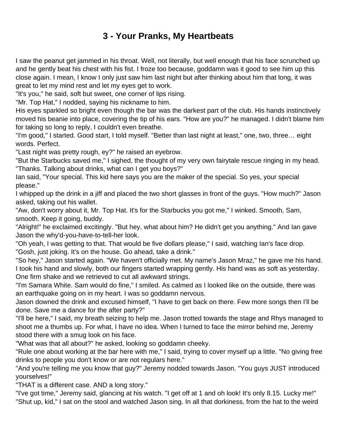## **3 - Your Pranks, My Heartbeats**

<span id="page-10-0"></span>I saw the peanut get jammed in his throat. Well, not literally, but well enough that his face scrunched up and he gently beat his chest with his fist. I froze too because, goddamn was it good to see him up this close again. I mean, I know I only just saw him last night but after thinking about him that long, it was great to let my mind rest and let my eyes get to work.

"It's you," he said, soft but sweet, one corner of lips rising.

"Mr. Top Hat," I nodded, saying his nickname to him.

His eyes sparkled so bright even though the bar was the darkest part of the club. His hands instinctively moved his beanie into place, covering the tip of his ears. "How are you?" he managed. I didn't blame him for taking so long to reply, I couldn't even breathe.

"I'm good," I started. Good start, I told myself. "Better than last night at least," one, two, three… eight words. Perfect.

"Last night was pretty rough, ey?" he raised an eyebrow.

"But the Starbucks saved me," I sighed, the thought of my very own fairytale rescue ringing in my head. "Thanks. Talking about drinks, what can I get you boys?"

Ian said, "Your special. This kid here says you are the maker of the special. So yes, your special please."

I whipped up the drink in a jiff and placed the two short glasses in front of the guys. "How much?" Jason asked, taking out his wallet.

"Aw, don't worry about it, Mr. Top Hat. It's for the Starbucks you got me," I winked. Smooth, Sam, smooth. Keep it going, buddy.

"Alright!" he exclaimed excitingly. "But hey, what about him? He didn't get you anything." And Ian gave Jason the why'd-you-have-to-tell-her look.

"Oh yeah, I was getting to that. That would be five dollars please," I said, watching Ian's face drop. "Gosh, just joking. It's on the house. Go ahead, take a drink."

"So hey," Jason started again. "We haven't officially met. My name's Jason Mraz," he gave me his hand. I took his hand and slowly, both our fingers started wrapping gently. His hand was as soft as yesterday. One firm shake and we retrieved to cut all awkward strings.

"I'm Samara White. Sam would do fine," I smiled. As calmed as I looked like on the outside, there was an earthquake going on in my heart. I was so goddamn nervous.

Jason downed the drink and excused himself, "I have to get back on there. Few more songs then I'll be done. Save me a dance for the after party?"

"I'll be here," I said, my breath seizing to help me. Jason trotted towards the stage and Rhys managed to shoot me a thumbs up. For what, I have no idea. When I turned to face the mirror behind me, Jeremy stood there with a smug look on his face.

"What was that all about?" he asked, looking so goddamn cheeky.

"Rule one about working at the bar here with me," I said, trying to cover myself up a little. "No giving free drinks to people you don't know or are not regulars here."

"And you're telling me you know that guy?" Jeremy nodded towards Jason. "You guys JUST introduced yourselves!"

"THAT is a different case. AND a long story."

"I've got time," Jeremy said, glancing at his watch. "I get off at 1 and oh look! It's only 8.15. Lucky me!" "Shut up, kid," I sat on the stool and watched Jason sing. In all that dorkiness, from the hat to the weird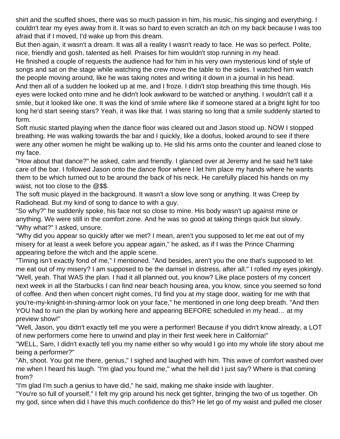shirt and the scuffed shoes, there was so much passion in him, his music, his singing and everything. I couldn't tear my eyes away from it. It was so hard to even scratch an itch on my back because I was too afraid that if I moved, I'd wake up from this dream.

But then again, it wasn't a dream. It was all a reality I wasn't ready to face. He was so perfect. Polite, nice, friendly and gosh, talented as hell. Praises for him wouldn't stop running in my head.

He finished a couple of requests the audience had for him in his very own mysterious kind of style of songs and sat on the stage while watching the crew move the table to the sides. I watched him watch the people moving around, like he was taking notes and writing it down in a journal in his head.

And then all of a sudden he looked up at me, and I froze. I didn't stop breathing this time though. His eyes were locked onto mine and he didn't look awkward to be watched or anything. I wouldn't call it a smile, but it looked like one. It was the kind of smile where like if someone stared at a bright light for too long he'd start seeing stars? Yeah, it was like that. I was staring so long that a smile suddenly started to form.

Soft music started playing when the dance floor was cleared out and Jason stood up. NOW I stopped breathing. He was walking towards the bar and I quickly, like a doofus, looked around to see if there were any other women he might be walking up to. He slid his arms onto the counter and leaned close to my face.

"How about that dance?" he asked, calm and friendly. I glanced over at Jeremy and he said he'll take care of the bar. I followed Jason onto the dance floor where I let him place my hands where he wants them to be which turned out to be around the back of his neck. He carefully placed his hands on my waist, not too close to the @\$\$.

The soft music played in the background. It wasn't a slow love song or anything. It was Creep by Radiohead. But my kind of song to dance to with a guy.

"So why?" he suddenly spoke, his face not so close to mine. His body wasn't up against mine or anything. We were still in the comfort zone. And he was so good at taking things quick but slowly. "Why what?" I asked, unsure.

"Why did you appear so quickly after we met? I mean, aren't you supposed to let me eat out of my misery for at least a week before you appear again," he asked, as if I was the Prince Charming appearing before the witch and the apple scene.

"Timing isn't exactly fond of me," I mentioned. "And besides, aren't you the one that's supposed to let me eat out of my misery? I am supposed to be the damsel in distress, after all." I rolled my eyes jokingly. "Well, yeah. That WAS the plan. I had it all planned out, you know? Like place posters of my concert next week in all the Starbucks I can find near beach housing area, you know, since you seemed so fond of coffee. And then when concert night comes, I'd find you at my stage door, waiting for me with that you're-my-knight-in-shining-armor look on your face," he mentioned in one long deep breath. "And then YOU had to ruin the plan by working here and appearing BEFORE scheduled in my head… at my preview show!"

"Well, Jason, you didn't exactly tell me you were a performer! Because if you didn't know already, a LOT of new performers come here to unwind and play in their first week here in California!"

"WELL, Sam, I didn't exactly tell you my name either so why would I go into my whole life story about me being a performer?"

"Ah, shoot. You got me there, genius," I sighed and laughed with him. This wave of comfort washed over me when I heard his laugh. "I'm glad you found me," what the hell did I just say? Where is that coming from?

"I'm glad I'm such a genius to have did," he said, making me shake inside with laughter.

"You're so full of yourself," I felt my grip around his neck get tighter, bringing the two of us together. Oh my god, since when did I have this much confidence do this? He let go of my waist and pulled me closer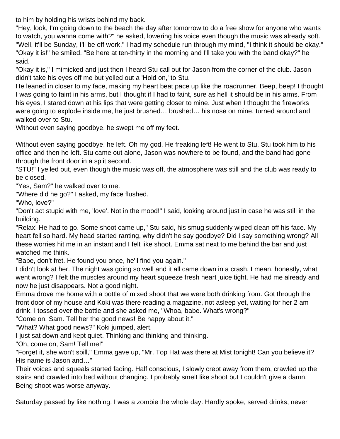to him by holding his wrists behind my back.

"Hey, look, I'm going down to the beach the day after tomorrow to do a free show for anyone who wants to watch, you wanna come with?" he asked, lowering his voice even though the music was already soft. "Well, it'll be Sunday, I'll be off work," I had my schedule run through my mind, "I think it should be okay." "Okay it is!" he smiled. "Be here at ten-thirty in the morning and I'll take you with the band okay?" he said.

"Okay it is," I mimicked and just then I heard Stu call out for Jason from the corner of the club. Jason didn't take his eyes off me but yelled out a 'Hold on,' to Stu.

He leaned in closer to my face, making my heart beat pace up like the roadrunner. Beep, beep! I thought I was going to faint in his arms, but I thought if I had to faint, sure as hell it should be in his arms. From his eyes, I stared down at his lips that were getting closer to mine. Just when I thought the fireworks were going to explode inside me, he just brushed… brushed… his nose on mine, turned around and walked over to Stu.

Without even saying goodbye, he swept me off my feet.

Without even saying goodbye, he left. Oh my god. He freaking left! He went to Stu, Stu took him to his office and then he left. Stu came out alone, Jason was nowhere to be found, and the band had gone through the front door in a split second.

"STU!" I yelled out, even though the music was off, the atmosphere was still and the club was ready to be closed.

"Yes, Sam?" he walked over to me.

"Where did he go?" I asked, my face flushed.

"Who, love?"

"Don't act stupid with me, 'love'. Not in the mood!" I said, looking around just in case he was still in the building.

"Relax! He had to go. Some shoot came up," Stu said, his smug suddenly wiped clean off his face. My heart fell so hard. My head started ranting, why didn't he say goodbye? Did I say something wrong? All these worries hit me in an instant and I felt like shoot. Emma sat next to me behind the bar and just watched me think.

"Babe, don't fret. He found you once, he'll find you again."

I didn't look at her. The night was going so well and it all came down in a crash. I mean, honestly, what went wrong? I felt the muscles around my heart squeeze fresh heart juice tight. He had me already and now he just disappears. Not a good night.

Emma drove me home with a bottle of mixed shoot that we were both drinking from. Got through the front door of my house and Koki was there reading a magazine, not asleep yet, waiting for her 2 am drink. I tossed over the bottle and she asked me, "Whoa, babe. What's wrong?"

"Come on, Sam. Tell her the good news! Be happy about it."

"What? What good news?" Koki jumped, alert.

I just sat down and kept quiet. Thinking and thinking and thinking.

"Oh, come on, Sam! Tell me!"

"Forget it, she won't spill," Emma gave up, "Mr. Top Hat was there at Mist tonight! Can you believe it? His name is Jason and…"

Their voices and squeals started fading. Half conscious, I slowly crept away from them, crawled up the stairs and crawled into bed without changing. I probably smelt like shoot but I couldn't give a damn. Being shoot was worse anyway.

Saturday passed by like nothing. I was a zombie the whole day. Hardly spoke, served drinks, never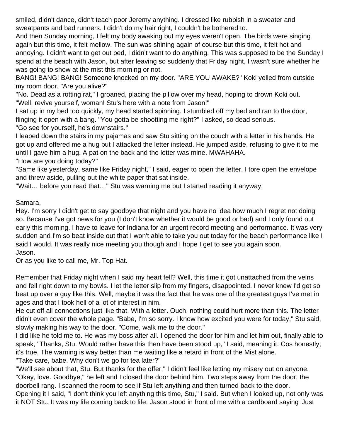smiled, didn't dance, didn't teach poor Jeremy anything. I dressed like rubbish in a sweater and sweatpants and bad runners. I didn't do my hair right, I couldn't be bothered to.

And then Sunday morning, I felt my body awaking but my eyes weren't open. The birds were singing again but this time, it felt mellow. The sun was shining again of course but this time, it felt hot and annoying. I didn't want to get out bed, I didn't want to do anything. This was supposed to be the Sunday I spend at the beach with Jason, but after leaving so suddenly that Friday night, I wasn't sure whether he was going to show at the mist this morning or not.

BANG! BANG! BANG! Someone knocked on my door. "ARE YOU AWAKE?" Koki yelled from outside my room door. "Are you alive?"

"No. Dead as a rotting rat," I groaned, placing the pillow over my head, hoping to drown Koki out. "Well, revive yourself, woman! Stu's here with a note from Jason!"

I sat up in my bed too quickly, my head started spinning. I stumbled off my bed and ran to the door, flinging it open with a bang. "You gotta be shootting me right?" I asked, so dead serious. "Go see for yourself, he's downstairs."

I leaped down the stairs in my pajamas and saw Stu sitting on the couch with a letter in his hands. He got up and offered me a hug but I attacked the letter instead. He jumped aside, refusing to give it to me until I gave him a hug. A pat on the back and the letter was mine. MWAHAHA.

"How are you doing today?"

"Same like yesterday, same like Friday night," I said, eager to open the letter. I tore open the envelope and threw aside, pulling out the white paper that sat inside.

"Wait… before you read that…" Stu was warning me but I started reading it anyway.

Samara,

Hey. I'm sorry I didn't get to say goodbye that night and you have no idea how much I regret not doing so. Because I've got news for you (I don't know whether it would be good or bad) and I only found out early this morning. I have to leave for Indiana for an urgent record meeting and performance. It was very sudden and I'm so beat inside out that I won't able to take you out today for the beach performance like I said I would. It was really nice meeting you though and I hope I get to see you again soon. Jason.

Or as you like to call me, Mr. Top Hat.

Remember that Friday night when I said my heart fell? Well, this time it got unattached from the veins and fell right down to my bowls. I let the letter slip from my fingers, disappointed. I never knew I'd get so beat up over a guy like this. Well, maybe it was the fact that he was one of the greatest guys I've met in ages and that I took hell of a lot of interest in him.

He cut off all connections just like that. With a letter. Ouch, nothing could hurt more than this. The letter didn't even cover the whole page. "Babe, I'm so sorry. I know how excited you were for today," Stu said, slowly making his way to the door. "Come, walk me to the door."

I did like he told me to. He was my boss after all. I opened the door for him and let him out, finally able to speak, "Thanks, Stu. Would rather have this then have been stood up," I said, meaning it. Cos honestly, it's true. The warning is way better than me waiting like a retard in front of the Mist alone.

"Take care, babe. Why don't we go for tea later?"

"We'll see about that, Stu. But thanks for the offer," I didn't feel like letting my misery out on anyone. "Okay, love. Goodbye," he left and I closed the door behind him. Two steps away from the door, the doorbell rang. I scanned the room to see if Stu left anything and then turned back to the door.

Opening it I said, "I don't think you left anything this time, Stu," I said. But when I looked up, not only was it NOT Stu. It was my life coming back to life. Jason stood in front of me with a cardboard saying 'Just